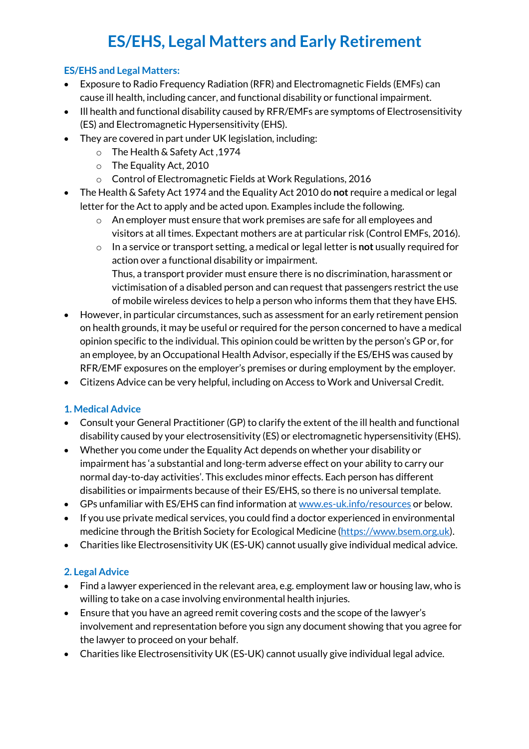# **ES/EHS, Legal Matters and Early Retirement**

## **ES/EHS and Legal Matters:**

- Exposure to Radio Frequency Radiation (RFR) and Electromagnetic Fields (EMFs) can cause ill health, including cancer, and functional disability or functional impairment.
- Ill health and functional disability caused by RFR/EMFs are symptoms of Electrosensitivity (ES) and Electromagnetic Hypersensitivity (EHS).
- They are covered in part under UK legislation, including:
	- o The Health & Safety Act ,1974
	- o The Equality Act, 2010
	- o Control of Electromagnetic Fields at Work Regulations, 2016
- The Health & Safety Act 1974 and the Equality Act 2010 do **not** require a medical or legal letter for the Act to apply and be acted upon. Examples include the following.
	- o An employer must ensure that work premises are safe for all employees and visitors at all times. Expectant mothers are at particular risk (Control EMFs, 2016).
	- o In a service or transport setting, a medical or legal letter is **not** usually required for action over a functional disability or impairment. Thus, a transport provider must ensure there is no discrimination, harassment or victimisation of a disabled person and can request that passengers restrict the use of mobile wireless devices to help a person who informs them that they have EHS.
- However, in particular circumstances, such as assessment for an early retirement pension on health grounds, it may be useful or required for the person concerned to have a medical opinion specific to the individual. This opinion could be written by the person's GP or, for an employee, by an Occupational Health Advisor, especially if the ES/EHS was caused by RFR/EMF exposures on the employer's premises or during employment by the employer.
- Citizens Advice can be very helpful, including on Access to Work and Universal Credit.

## **1. Medical Advice**

- Consult your General Practitioner (GP) to clarify the extent of the ill health and functional disability caused by your electrosensitivity (ES) or electromagnetic hypersensitivity (EHS).
- Whether you come under the Equality Act depends on whether your disability or impairment has 'a substantial and long-term adverse effect on your ability to carry our normal day-to-day activities'. This excludes minor effects. Each person has different disabilities or impairments because of their ES/EHS, so there is no universal template.
- GPs unfamiliar with ES/EHS can find information at www.es-uk.info/resources or below.
- If you use private medical services, you could find a doctor experienced in environmental medicine through the British Society for Ecological Medicine (https://www.bsem.org.uk).
- Charities like Electrosensitivity UK (ES-UK) cannot usually give individual medical advice.

# **2. Legal Advice**

- Find a lawyer experienced in the relevant area, e.g. employment law or housing law, who is willing to take on a case involving environmental health injuries.
- Ensure that you have an agreed remit covering costs and the scope of the lawyer's involvement and representation before you sign any document showing that you agree for the lawyer to proceed on your behalf.
- Charities like Electrosensitivity UK (ES-UK) cannot usually give individual legal advice.